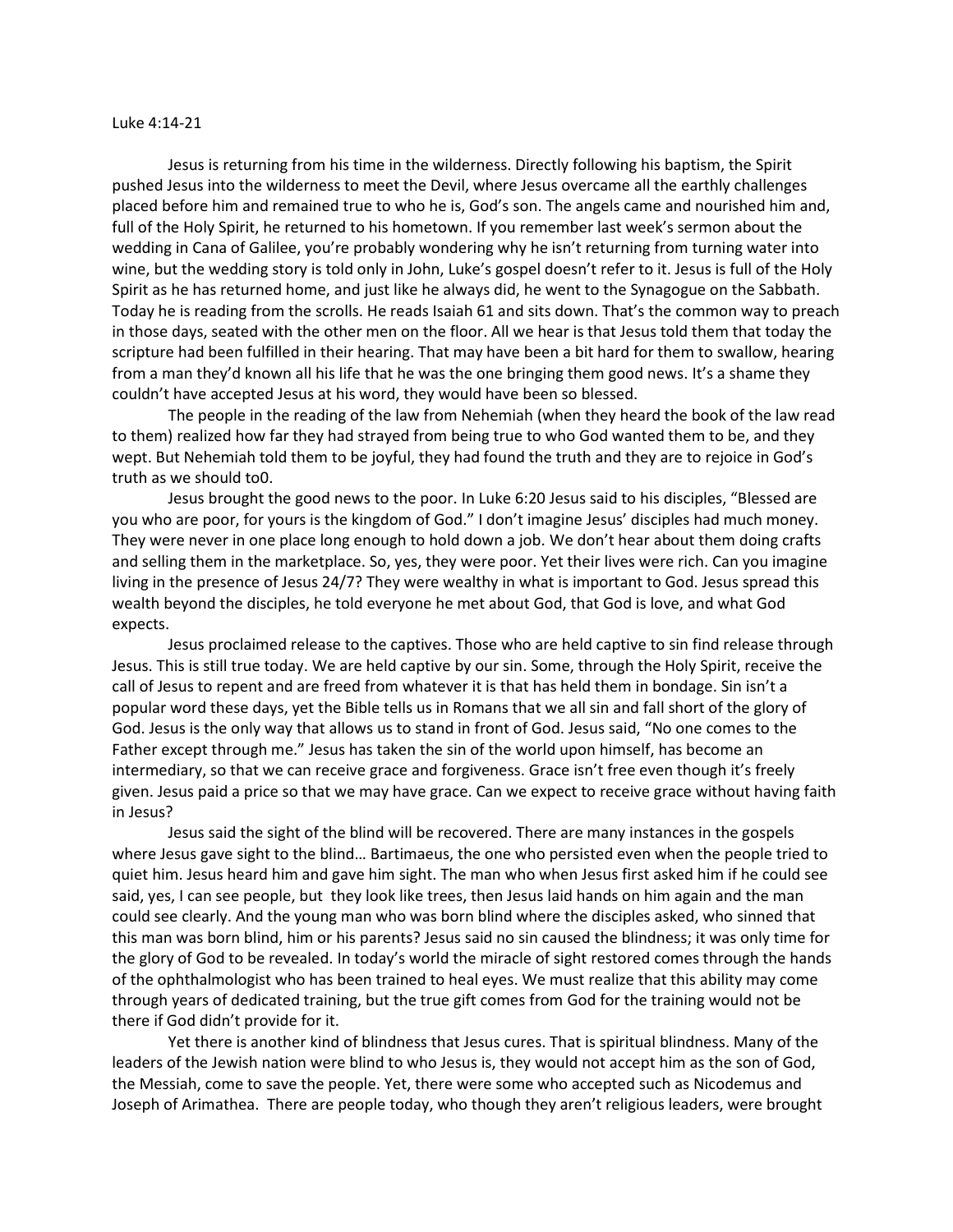## Luke 4:14-21

Jesus is returning from his time in the wilderness. Directly following his baptism, the Spirit pushed Jesus into the wilderness to meet the Devil, where Jesus overcame all the earthly challenges placed before him and remained true to who he is, God's son. The angels came and nourished him and, full of the Holy Spirit, he returned to his hometown. If you remember last week's sermon about the wedding in Cana of Galilee, you're probably wondering why he isn't returning from turning water into wine, but the wedding story is told only in John, Luke's gospel doesn't refer to it. Jesus is full of the Holy Spirit as he has returned home, and just like he always did, he went to the Synagogue on the Sabbath. Today he is reading from the scrolls. He reads Isaiah 61 and sits down. That's the common way to preach in those days, seated with the other men on the floor. All we hear is that Jesus told them that today the scripture had been fulfilled in their hearing. That may have been a bit hard for them to swallow, hearing from a man they'd known all his life that he was the one bringing them good news. It's a shame they couldn't have accepted Jesus at his word, they would have been so blessed.

The people in the reading of the law from Nehemiah (when they heard the book of the law read to them) realized how far they had strayed from being true to who God wanted them to be, and they wept. But Nehemiah told them to be joyful, they had found the truth and they are to rejoice in God's truth as we should to0.

Jesus brought the good news to the poor. In Luke 6:20 Jesus said to his disciples, "Blessed are you who are poor, for yours is the kingdom of God." I don't imagine Jesus' disciples had much money. They were never in one place long enough to hold down a job. We don't hear about them doing crafts and selling them in the marketplace. So, yes, they were poor. Yet their lives were rich. Can you imagine living in the presence of Jesus 24/7? They were wealthy in what is important to God. Jesus spread this wealth beyond the disciples, he told everyone he met about God, that God is love, and what God expects.

Jesus proclaimed release to the captives. Those who are held captive to sin find release through Jesus. This is still true today. We are held captive by our sin. Some, through the Holy Spirit, receive the call of Jesus to repent and are freed from whatever it is that has held them in bondage. Sin isn't a popular word these days, yet the Bible tells us in Romans that we all sin and fall short of the glory of God. Jesus is the only way that allows us to stand in front of God. Jesus said, "No one comes to the Father except through me." Jesus has taken the sin of the world upon himself, has become an intermediary, so that we can receive grace and forgiveness. Grace isn't free even though it's freely given. Jesus paid a price so that we may have grace. Can we expect to receive grace without having faith in Jesus?

Jesus said the sight of the blind will be recovered. There are many instances in the gospels where Jesus gave sight to the blind… Bartimaeus, the one who persisted even when the people tried to quiet him. Jesus heard him and gave him sight. The man who when Jesus first asked him if he could see said, yes, I can see people, but they look like trees, then Jesus laid hands on him again and the man could see clearly. And the young man who was born blind where the disciples asked, who sinned that this man was born blind, him or his parents? Jesus said no sin caused the blindness; it was only time for the glory of God to be revealed. In today's world the miracle of sight restored comes through the hands of the ophthalmologist who has been trained to heal eyes. We must realize that this ability may come through years of dedicated training, but the true gift comes from God for the training would not be there if God didn't provide for it.

Yet there is another kind of blindness that Jesus cures. That is spiritual blindness. Many of the leaders of the Jewish nation were blind to who Jesus is, they would not accept him as the son of God, the Messiah, come to save the people. Yet, there were some who accepted such as Nicodemus and Joseph of Arimathea. There are people today, who though they aren't religious leaders, were brought